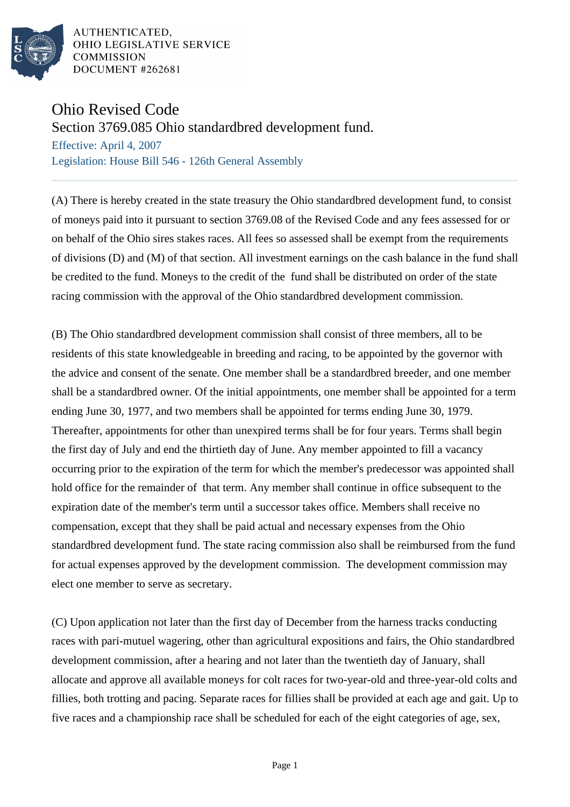

AUTHENTICATED, OHIO LEGISLATIVE SERVICE **COMMISSION** DOCUMENT #262681

## Ohio Revised Code

Section 3769.085 Ohio standardbred development fund.

Effective: April 4, 2007 Legislation: House Bill 546 - 126th General Assembly

(A) There is hereby created in the state treasury the Ohio standardbred development fund, to consist of moneys paid into it pursuant to section 3769.08 of the Revised Code and any fees assessed for or on behalf of the Ohio sires stakes races. All fees so assessed shall be exempt from the requirements of divisions (D) and (M) of that section. All investment earnings on the cash balance in the fund shall be credited to the fund. Moneys to the credit of the fund shall be distributed on order of the state racing commission with the approval of the Ohio standardbred development commission.

(B) The Ohio standardbred development commission shall consist of three members, all to be residents of this state knowledgeable in breeding and racing, to be appointed by the governor with the advice and consent of the senate. One member shall be a standardbred breeder, and one member shall be a standardbred owner. Of the initial appointments, one member shall be appointed for a term ending June 30, 1977, and two members shall be appointed for terms ending June 30, 1979. Thereafter, appointments for other than unexpired terms shall be for four years. Terms shall begin the first day of July and end the thirtieth day of June. Any member appointed to fill a vacancy occurring prior to the expiration of the term for which the member's predecessor was appointed shall hold office for the remainder of that term. Any member shall continue in office subsequent to the expiration date of the member's term until a successor takes office. Members shall receive no compensation, except that they shall be paid actual and necessary expenses from the Ohio standardbred development fund. The state racing commission also shall be reimbursed from the fund for actual expenses approved by the development commission. The development commission may elect one member to serve as secretary.

(C) Upon application not later than the first day of December from the harness tracks conducting races with pari-mutuel wagering, other than agricultural expositions and fairs, the Ohio standardbred development commission, after a hearing and not later than the twentieth day of January, shall allocate and approve all available moneys for colt races for two-year-old and three-year-old colts and fillies, both trotting and pacing. Separate races for fillies shall be provided at each age and gait. Up to five races and a championship race shall be scheduled for each of the eight categories of age, sex,